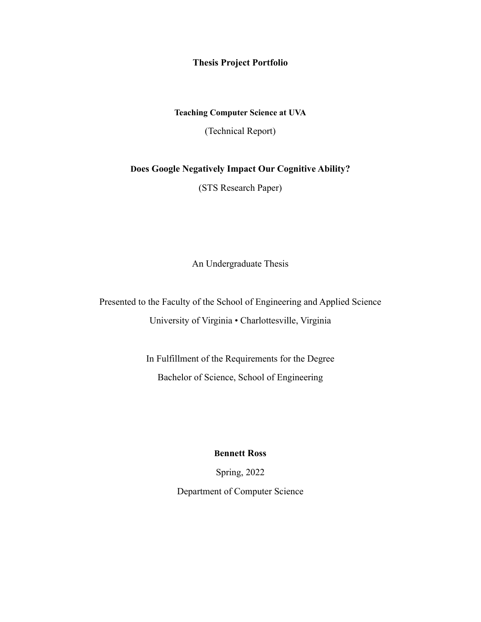**Thesis Project Portfolio**

## **Teaching Computer Science at UVA**

(Technical Report)

## **Does Google Negatively Impact Our Cognitive Ability?**

(STS Research Paper)

An Undergraduate Thesis

Presented to the Faculty of the School of Engineering and Applied Science University of Virginia • Charlottesville, Virginia

> In Fulfillment of the Requirements for the Degree Bachelor of Science, School of Engineering

> > **Bennett Ross**

Spring, 2022

Department of Computer Science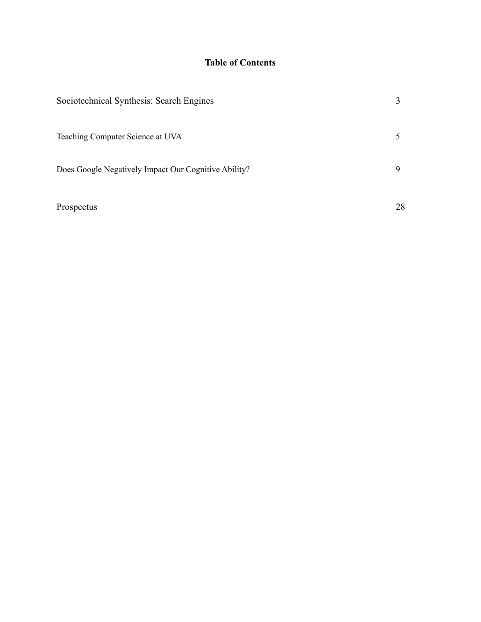## **Table of Contents**

| Sociotechnical Synthesis: Search Engines             |    |
|------------------------------------------------------|----|
| Teaching Computer Science at UVA                     |    |
| Does Google Negatively Impact Our Cognitive Ability? | 9  |
| Prospectus                                           | 28 |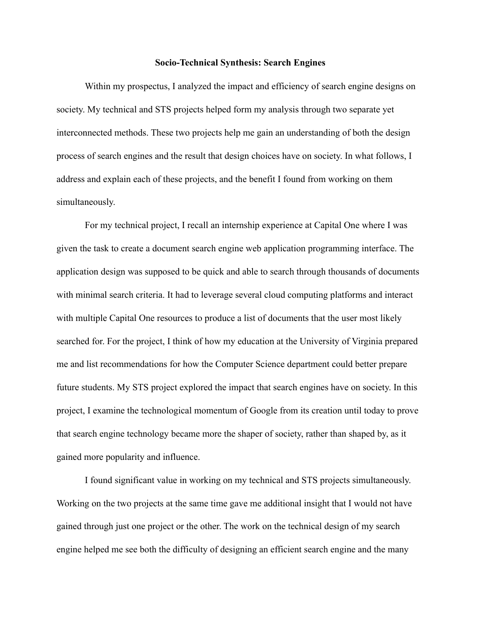## **Socio-Technical Synthesis: Search Engines**

Within my prospectus, I analyzed the impact and efficiency of search engine designs on society. My technical and STS projects helped form my analysis through two separate yet interconnected methods. These two projects help me gain an understanding of both the design process of search engines and the result that design choices have on society. In what follows, I address and explain each of these projects, and the benefit I found from working on them simultaneously.

For my technical project, I recall an internship experience at Capital One where I was given the task to create a document search engine web application programming interface. The application design was supposed to be quick and able to search through thousands of documents with minimal search criteria. It had to leverage several cloud computing platforms and interact with multiple Capital One resources to produce a list of documents that the user most likely searched for. For the project, I think of how my education at the University of Virginia prepared me and list recommendations for how the Computer Science department could better prepare future students. My STS project explored the impact that search engines have on society. In this project, I examine the technological momentum of Google from its creation until today to prove that search engine technology became more the shaper of society, rather than shaped by, as it gained more popularity and influence.

I found significant value in working on my technical and STS projects simultaneously. Working on the two projects at the same time gave me additional insight that I would not have gained through just one project or the other. The work on the technical design of my search engine helped me see both the difficulty of designing an efficient search engine and the many